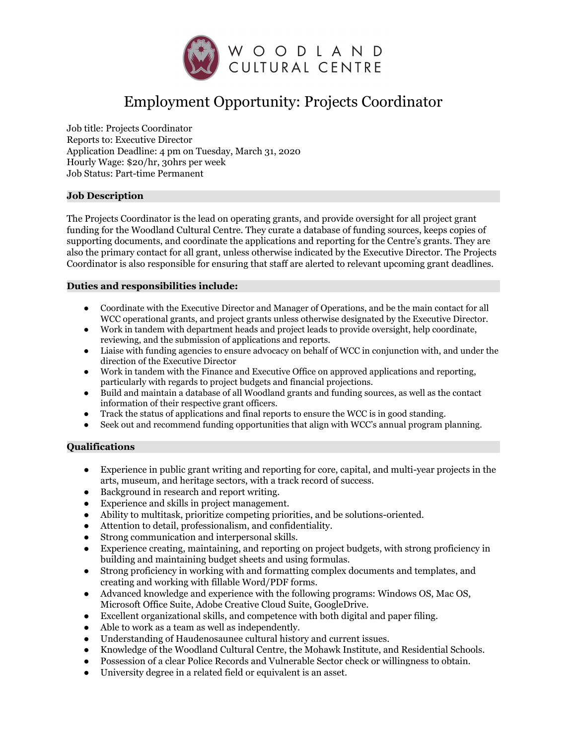

# Employment Opportunity: Projects Coordinator

Job title: Projects Coordinator Reports to: Executive Director Application Deadline: 4 pm on Tuesday, March 31, 2020 Hourly Wage: \$20/hr, 30hrs per week Job Status: Part-time Permanent

### **Job Description**

The Projects Coordinator is the lead on operating grants, and provide oversight for all project grant funding for the Woodland Cultural Centre. They curate a database of funding sources, keeps copies of supporting documents, and coordinate the applications and reporting for the Centre's grants. They are also the primary contact for all grant, unless otherwise indicated by the Executive Director. The Projects Coordinator is also responsible for ensuring that staff are alerted to relevant upcoming grant deadlines.

### **Duties and responsibilities include:**

- Coordinate with the Executive Director and Manager of Operations, and be the main contact for all WCC operational grants, and project grants unless otherwise designated by the Executive Director.
- Work in tandem with department heads and project leads to provide oversight, help coordinate, reviewing, and the submission of applications and reports.
- Liaise with funding agencies to ensure advocacy on behalf of WCC in conjunction with, and under the direction of the Executive Director
- Work in tandem with the Finance and Executive Office on approved applications and reporting, particularly with regards to project budgets and financial projections.
- Build and maintain a database of all Woodland grants and funding sources, as well as the contact information of their respective grant officers.
- Track the status of applications and final reports to ensure the WCC is in good standing.
- Seek out and recommend funding opportunities that align with WCC's annual program planning.

## **Qualifications**

- Experience in public grant writing and reporting for core, capital, and multi-year projects in the arts, museum, and heritage sectors, with a track record of success.
- Background in research and report writing.
- Experience and skills in project management.
- Ability to multitask, prioritize competing priorities, and be solutions-oriented.
- Attention to detail, professionalism, and confidentiality.
- Strong communication and interpersonal skills.
- Experience creating, maintaining, and reporting on project budgets, with strong proficiency in building and maintaining budget sheets and using formulas.
- Strong proficiency in working with and formatting complex documents and templates, and creating and working with fillable Word/PDF forms.
- Advanced knowledge and experience with the following programs: Windows OS, Mac OS, Microsoft Office Suite, Adobe Creative Cloud Suite, GoogleDrive.
- Excellent organizational skills, and competence with both digital and paper filing.
- Able to work as a team as well as independently.
- Understanding of Haudenosaunee cultural history and current issues.
- Knowledge of the Woodland Cultural Centre, the Mohawk Institute, and Residential Schools.
- Possession of a clear Police Records and Vulnerable Sector check or willingness to obtain.
- University degree in a related field or equivalent is an asset.